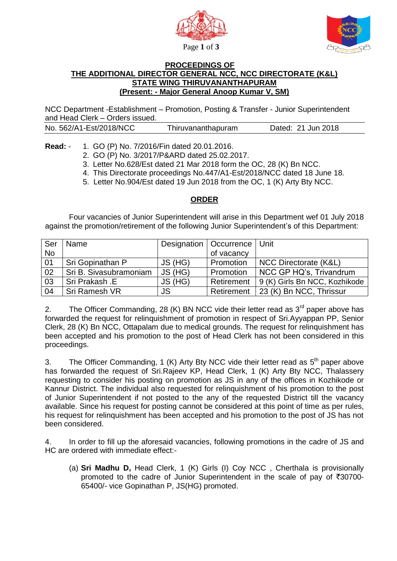



## **PROCEEDINGS OF THE ADDITIONAL DIRECTOR GENERAL NCC, NCC DIRECTORATE (K&L) STATE WING THIRUVANANTHAPURAM (Present: - Major General Anoop Kumar V, SM)**

NCC Department -Establishment – Promotion, Posting & Transfer - Junior Superintendent and Head Clerk – Orders issued.

| No. 562/A1-Est/2018/NCC<br>Thiruvananthapuram | Dated: 21 Jun 2018 |
|-----------------------------------------------|--------------------|
|-----------------------------------------------|--------------------|

## **Read:** - 1. GO (P) No. 7/2016/Fin dated 20.01.2016.

- 2. GO (P) No. 3/2017/P&ARD dated 25.02.2017.
- 3. Letter No.628/Est dated 21 Mar 2018 form the OC, 28 (K) Bn NCC.
- 4. This Directorate proceedings No.447/A1-Est/2018/NCC dated 18 June 18.
- 5. Letter No.904/Est dated 19 Jun 2018 from the OC, 1 (K) Arty Bty NCC.

## **ORDER**

 Four vacancies of Junior Superintendent will arise in this Department wef 01 July 2018 against the promotion/retirement of the following Junior Superintendent's of this Department:

| Ser       | Name                   |           | Designation   Occurrence   Unit |                               |
|-----------|------------------------|-----------|---------------------------------|-------------------------------|
| <b>No</b> |                        |           | of vacancy                      |                               |
| 01        | Sri Gopinathan P       | JS (HG)   | Promotion                       | NCC Directorate (K&L)         |
| 02        | Sri B. Sivasubramoniam | JS (HG)   | Promotion                       | NCC GP HQ's, Trivandrum       |
| 03        | Sri Prakash .E         | JS (HG)   | Retirement                      | 9 (K) Girls Bn NCC, Kozhikode |
| 04        | Sri Ramesh VR          | <b>JS</b> | Retirement                      | 23 (K) Bn NCC, Thrissur       |

2. The Officer Commanding, 28 (K) BN NCC vide their letter read as  $3<sup>rd</sup>$  paper above has forwarded the request for relinquishment of promotion in respect of Sri.Ayyappan PP, Senior Clerk, 28 (K) Bn NCC, Ottapalam due to medical grounds. The request for relinquishment has been accepted and his promotion to the post of Head Clerk has not been considered in this proceedings.

3. The Officer Commanding, 1 (K) Arty Bty NCC vide their letter read as  $5<sup>th</sup>$  paper above has forwarded the request of Sri.Rajeev KP, Head Clerk, 1 (K) Arty Bty NCC, Thalassery requesting to consider his posting on promotion as JS in any of the offices in Kozhikode or Kannur District. The individual also requested for relinquishment of his promotion to the post of Junior Superintendent if not posted to the any of the requested District till the vacancy available. Since his request for posting cannot be considered at this point of time as per rules, his request for relinquishment has been accepted and his promotion to the post of JS has not been considered.

4. In order to fill up the aforesaid vacancies, following promotions in the cadre of JS and HC are ordered with immediate effect:-

(a) **Sri Madhu D,** Head Clerk, 1 (K) Girls (I) Coy NCC , Cherthala is provisionally promoted to the cadre of Junior Superintendent in the scale of pay of  $\overline{30700}$ -65400/- vice Gopinathan P, JS(HG) promoted.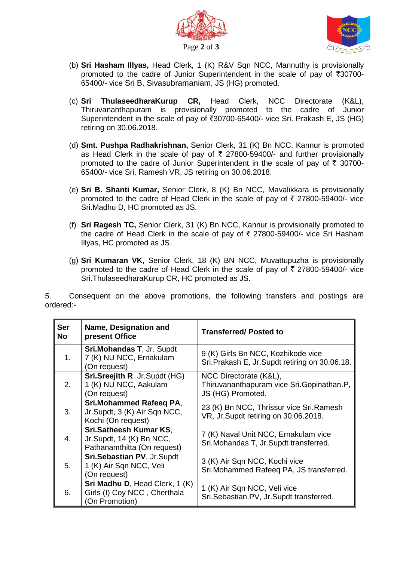



- (b) **Sri Hasham Illyas,** Head Clerk, 1 (K) R&V Sqn NCC, Mannuthy is provisionally promoted to the cadre of Junior Superintendent in the scale of pay of  $\overline{5}30700$ -65400/- vice Sri B. Sivasubramaniam, JS (HG) promoted.
- (c) **Sri ThulaseedharaKurup CR,** Head Clerk, NCC Directorate (K&L), Thiruvananthapuram is provisionally promoted to the cadre of Junior Superintendent in the scale of pay of  $\overline{3}30700-65400/4$  vice Sri. Prakash E, JS (HG) retiring on 30.06.2018.
- (d) **Smt. Pushpa Radhakrishnan,** Senior Clerk, 31 (K) Bn NCC, Kannur is promoted as Head Clerk in the scale of pay of  $\bar{\tau}$  27800-59400/- and further provisionally promoted to the cadre of Junior Superintendent in the scale of pay of  $\bar{\tau}$  30700-65400/- vice Sri. Ramesh VR, JS retiring on 30.06.2018.
- (e) **Sri B. Shanti Kumar,** Senior Clerk, 8 (K) Bn NCC, Mavalikkara is provisionally promoted to the cadre of Head Clerk in the scale of pay of  $\bar{\tau}$  27800-59400/- vice Sri.Madhu D, HC promoted as JS.
- (f) **Sri Ragesh TC,** Senior Clerk, 31 (K) Bn NCC, Kannur is provisionally promoted to the cadre of Head Clerk in the scale of pay of  $\bar{\tau}$  27800-59400/- vice Sri Hasham Illyas, HC promoted as JS.
- (g) **Sri Kumaran VK,** Senior Clerk, 18 (K) BN NCC, Muvattupuzha is provisionally promoted to the cadre of Head Clerk in the scale of pay of  $\bar{\tau}$  27800-59400/- vice Sri.ThulaseedharaKurup CR, HC promoted as JS.

5. Consequent on the above promotions, the following transfers and postings are ordered:-

| <b>Ser</b><br>No | Name, Designation and<br>present Office                                                  | <b>Transferred/Posted to</b>                                                             |
|------------------|------------------------------------------------------------------------------------------|------------------------------------------------------------------------------------------|
| 1.               | <b>Sri.Mohandas T, Jr. Supdt</b><br>7 (K) NU NCC, Ernakulam<br>(On request)              | 9 (K) Girls Bn NCC, Kozhikode vice<br>Sri. Prakash E, Jr. Supdt retiring on 30.06.18.    |
| 2.               | Sri.Sreejith R, Jr.Supdt (HG)<br>1 (K) NU NCC, Aakulam<br>(On request)                   | NCC Directorate (K&L),<br>Thiruvananthapuram vice Sri.Gopinathan.P,<br>JS (HG) Promoted. |
| 3.               | Sri.Mohammed Rafeeq PA,<br>Jr.Supdt, 3 (K) Air Sqn NCC,<br>Kochi (On request)            | 23 (K) Bn NCC, Thrissur vice Sri. Ramesh<br>VR, Jr.Supdt retiring on 30.06.2018.         |
| 4.               | <b>Sri.Satheesh Kumar KS.</b><br>Jr.Supdt, 14 (K) Bn NCC,<br>Pathanamthitta (On request) | 7 (K) Naval Unit NCC, Ernakulam vice<br>Sri. Mohandas T, Jr. Supdt transferred.          |
| 5.               | Sri.Sebastian PV, Jr.Supdt<br>1 (K) Air Sqn NCC, Veli<br>(On request)                    | 3 (K) Air Sqn NCC, Kochi vice<br>Sri. Mohammed Rafeeq PA, JS transferred.                |
| 6.               | Sri Madhu D, Head Clerk, 1 (K)<br>Girls (I) Coy NCC, Cherthala<br>(On Promotion)         | 1 (K) Air Sqn NCC, Veli vice<br>Sri.Sebastian.PV, Jr.Supdt transferred.                  |